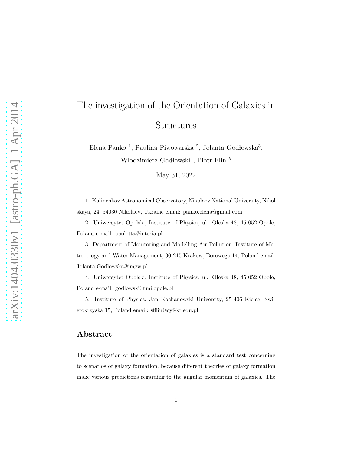# The investigation of the Orientation of Galaxies in **Structures**

Elena Panko $^1$ , Paulina Piwowarska $^2$ , Jolanta Godłowska $^3$ ,

Włodzimierz Godłowski<sup>4</sup>, Piotr Flin $^5$ 

May 31, 2022

1. Kalinenkov Astronomical Observatory, Nikolaev National University, Nikolskaya, 24, 54030 Nikolaev, Ukraine email: panko.elena@gmail.com

2. Uniwersytet Opolski, Institute of Physics, ul. Oleska 48, 45-052 Opole, Poland e-mail: paoletta@interia.pl

3. Department of Monitoring and Modelling Air Pollution, Institute of Meteorology and Water Management, 30-215 Krakow, Borowego 14, Poland email: Jolanta.Godlowska@imgw.pl

4. Uniwersytet Opolski, Institute of Physics, ul. Oleska 48, 45-052 Opole, Poland e-mail: godlowski@uni.opole.pl

5. Institute of Physics, Jan Kochanowski University, 25-406 Kielce, Swietokrzyska 15, Poland email: sfflin@cyf-kr.edu.pl

#### Abstract

The investigation of the orientation of galaxies is a standard test concerning to scenarios of galaxy formation, because different theories of galaxy formation make various predictions regarding to the angular momentum of galaxies. The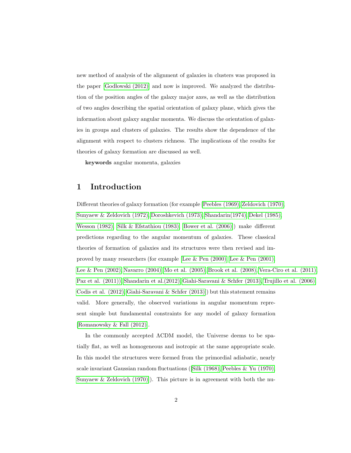new method of analysis of the alignment of galaxies in clusters was proposed in the paper  $[Godboxski (2012)]$  and now is improved. We analyzed the distribution of the position angles of the galaxy major axes, as well as the distribution of two angles describing the spatial orientation of galaxy plane, which gives the information about galaxy angular momenta. We discuss the orientation of galaxies in groups and clusters of galaxies. The results show the dependence of the alignment with respect to clusters richness. The implications of the results for theories of galaxy formation are discussed as well.

keywords angular momenta, galaxies

#### 1 Introduction

Different theories of galaxy formation (for example [\[Peebles \(1969\),](#page-15-0) [Zeldovich \(1970\),](#page-17-0) [Sunyaew & Zeldovich \(1972\),](#page-16-0) [Doroshkevich \(1973\),](#page-12-0) [Shandarin\(1974\),](#page-16-1) [Dekel \(1985\),](#page-12-1) [Wesson \(1982\),](#page-17-1) [Silk & Efstathiou \(1983\),](#page-16-2) [Bower et al. \(2006\)\]](#page-12-2)) make different predictions regarding to the angular momentum of galaxies. These classical theories of formation of galaxies and its structures were then revised and improved by many researchers (for example [Lee & Pen  $(2000)$ , Lee & Pen  $(2001)$ , [Lee & Pen \(2002\),](#page-14-2) [Navarro \(2004\),](#page-15-1) [Mo et al. \(2005\),](#page-15-2) [Brook et al. \(2008\),](#page-12-3) [Vera-Ciro et al. \(2011\),](#page-17-2) [Paz et al. \(2011\)\),](#page-15-3) [Shandarin et al.\(2012\),](#page-16-3) [Giahi-Saravani & Schfer \(2013\),](#page-13-1) [Trujillo et al. \(2006\),](#page-17-3) Codis et al.  $(2012)$ , Giahi-Saravani & Schfer  $(2013)$ ) but this statement remains valid. More generally, the observed variations in angular momentum represent simple but fundamental constraints for any model of galaxy formation [\[Romanowsky & Fall \(2012\)\]](#page-16-4).

In the commonly accepted ΛCDM model, the Universe deems to be spatially flat, as well as homogeneous and isotropic at the same appropriate scale. In this model the structures were formed from the primordial adiabatic, nearly scale invariant Gaussian random fluctuations ([\[Silk \(1968\),](#page-16-5) Peebles & [Yu \(1970\),](#page-15-4) Sunyaew  $&$  Zeldovich (1970)]). This picture is in agreement with both the nu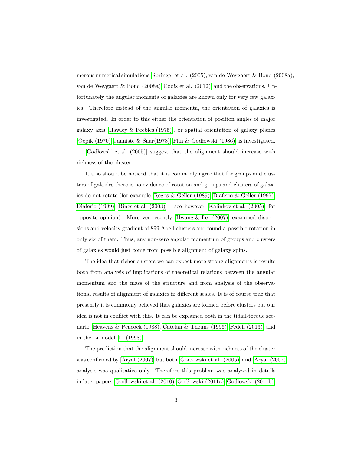merous numerical simulations [\[Springel et al. \(2005\),](#page-16-7) [van de Weygaert & Bond \(2008a\),](#page-17-4) [van de Weygaert & Bond \(2008a\),](#page-17-5) [Codis et al. \(2012\)\]](#page-12-4) and the observations. Unfortunately the angular momenta of galaxies are known only for very few galaxies. Therefore instead of the angular momenta, the orientation of galaxies is investigated. In order to this either the orientation of position angles of major galaxy axis [\[Hawley & Peebles \(1975\)\]](#page-13-2), or spatial orientation of galaxy planes [\[Oepik \(1970\),](#page-15-5) [Jaaniste & Saar\(1978\),](#page-14-3) Flin & Godłowski (1986)] is investigated.

[\[God lowski et al. \(2005\)\]](#page-13-3) suggest that the alignment should increase with richness of the cluster.

It also should be noticed that it is commonly agree that for groups and clusters of galaxies there is no evidence of rotation and groups and clusters of galaxies do not rotate (for example [\[Regos & Geller \(1989\),](#page-15-6) [Diaferio & Geller \(1997\),](#page-12-6) [Diaferio \(1999\),](#page-12-7) [Rines et al. \(2003\)\]](#page-16-8) - see however [\[Kalinkov et al. \(2005\)\]](#page-14-4) for opposite opinion). Moreover recently [\[Hwang & Lee \(2007\)\]](#page-14-5) examined dispersions and velocity gradient of 899 Abell clusters and found a possible rotation in only six of them. Thus, any non-zero angular momentum of groups and clusters of galaxies would just come from possible alignment of galaxy spins.

The idea that richer clusters we can expect more strong alignments is results both from analysis of implications of theoretical relations between the angular momentum and the mass of the structure and from analysis of the observational results of alignment of galaxies in different scales. It is of course true that presently it is commonly believed that galaxies are formed before clusters but our idea is not in conflict with this. It can be explained both in the tidial-torque scenario [\[Heavens & Peacock \(1988\),](#page-13-4) [Catelan & Theuns \(1996\),](#page-12-8) Fedeli [\(2013\)\]](#page-12-9) and in the Li model [\[Li \(1998\)\]](#page-15-7).

The prediction that the alignment should increase with richness of the cluster was confirmed by  $[Arg1 (2007)]$  but both  $[Goddowski et al. (2005)]$  and  $[Arg1 (2007)]$ analysis was qualitative only. Therefore this problem was analyzed in details in later papers  $[Goddowski et al. (2010), Godlowski (2011a), Godlowski (2011b),]$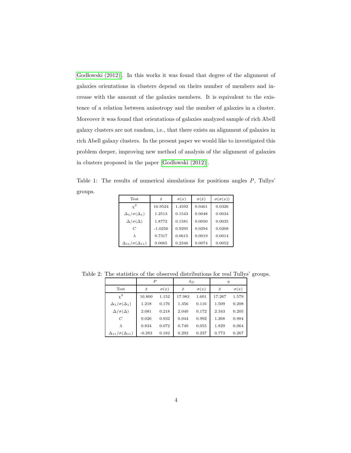Godłowski (2012)]. In this works it was found that degree of the alignment of galaxies orientations in clusters depend on theirs number of members and increase with the amount of the galaxies members. It is equivalent to the existence of a relation between anisotropy and the number of galaxies in a cluster. Moreover it was found that orientations of galaxies analyzed sample of rich Abell galaxy clusters are not random, i.e., that there exists an alignment of galaxies in rich Abell galaxy clusters. In the present paper we would like to investigated this problem deeper, improving new method of analysis of the alignment of galaxies in clusters proposed in the paper  $[Godowski (2012)].$ 

Table 1: The results of numerical simulations for positions angles P, Tullys' groups.

| <b>Test</b>                       | $\bar{x}$ | $\sigma(x)$ | $\sigma(\bar{x})$ | $\sigma(\sigma(x))$ |
|-----------------------------------|-----------|-------------|-------------------|---------------------|
| $\gamma^2$                        | 16.9524   | 1.4592      | 0.0461            | 0.0326              |
| $\Delta_1/\sigma(\Delta_1)$       | 1.2513    | 0.1543      | 0.0048            | 0.0034              |
| $\Delta/\sigma(\Delta)$           | 1.8772    | 0.1581      | 0.0050            | 0.0035              |
| C                                 | $-1.0256$ | 0.9295      | 0.0294            | 0.0208              |
|                                   | 0.7317    | 0.0615      | 0.0019            | 0.0014              |
| $\Delta_{11}/\sigma(\Delta_{11})$ | 0.0065    | 0.2346      | 0.0074            | 0.0052              |

Table 2: The statistics of the observed distributions for real Tullys' groups.

|                                   | P         |             | $\delta_D$ |             | $\eta$    |             |
|-----------------------------------|-----------|-------------|------------|-------------|-----------|-------------|
| Test                              | $\bar{x}$ | $\sigma(x)$ | $\bar{x}$  | $\sigma(x)$ | $\bar{x}$ | $\sigma(x)$ |
| $\chi^2$                          | 16.800    | 1.152       | 17.983     | 1.601       | 17.267    | 1.579       |
| $\Delta_1/\sigma(\Delta_1)$       | 1.218     | 0.176       | 1.356      | 0.116       | 1.509     | 0.208       |
| $\Delta/\sigma(\Delta)$           | 2.081     | 0.218       | 2.040      | 0.172       | 2.343     | 0.205       |
| $\,C$                             | 0.026     | 0.932       | 0.044      | 0.992       | 1.268     | 0.984       |
| $\lambda$                         | 0.834     | 0.072       | 0.740      | 0.055       | 1.829     | 0.064       |
| $\Delta_{11}/\sigma(\Delta_{11})$ | $-0.283$  | 0.182       | 0.292      | 0.237       | 0.773     | 0.267       |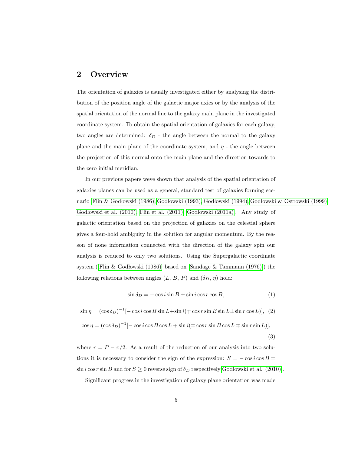#### 2 Overview

The orientation of galaxies is usually investigated either by analysing the distribution of the position angle of the galactic major axies or by the analysis of the spatial orientation of the normal line to the galaxy main plane in the investigated coordinate system. To obtain the spatial orientation of galaxies for each galaxy, two angles are determined:  $\delta_D$  - the angle between the normal to the galaxy plane and the main plane of the coordinate system, and  $\eta$  - the angle between the projection of this normal onto the main plane and the direction towards to the zero initial meridian.

In our previous papers weve shown that analysis of the spatial orientation of galaxies planes can be used as a general, standard test of galaxies forming scenario [Flin & Godłowski (1986), Godłowski (1993), Godłowski (1994), Godłowski & Ostrowski (1999), Godłowski et al.  $(2010)$ , Flin et al.  $(2011)$ , Godłowski  $(2011a)$ . Any study of galactic orientation based on the projection of galaxies on the celestial sphere gives a four-hold ambiguity in the solution for angular momentum. By the reason of none information connected with the direction of the galaxy spin our analysis is reduced to only two solutions. Using the Supergalactic coordinate system ([Flin & Godłowski (1986)] based on [\[Sandage & Tammann \(1976\)\]](#page-16-9)) the following relations between angles  $(L, B, P)$  and  $(\delta_D, \eta)$  hold:

$$
\sin \delta_D = -\cos i \sin B \pm \sin i \cos r \cos B,\tag{1}
$$

 $\sin \eta = (\cos \delta_D)^{-1} [-\cos i \cos B \sin L + \sin i (\mp \cos r \sin B \sin L \pm \sin r \cos L)],$  (2)  $\cos \eta = (\cos \delta_D)^{-1} [-\cos i \cos B \cos L + \sin i(\mp \cos r \sin B \cos L \mp \sin r \sin L)],$ (3)

where  $r = P - \pi/2$ . As a result of the reduction of our analysis into two solutions it is necessary to consider the sign of the expression:  $S = -\cos i \cos B \mp \sin \theta$  $\sin i \cos r \sin B$  and for  $S \ge 0$  reverse sign of  $\delta_D$  respectively[Godłowski et al. (2010)].

Significant progress in the investigation of galaxy plane orientation was made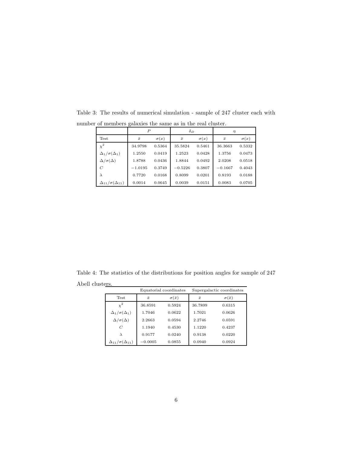| $\sim$ 01 mombols galaxies the same as in the real elaster. |           |             |            |             |           |             |
|-------------------------------------------------------------|-----------|-------------|------------|-------------|-----------|-------------|
|                                                             | Р         |             | $\delta_D$ |             | $\eta$    |             |
| Test                                                        | $\bar{x}$ | $\sigma(x)$ | $\bar{x}$  | $\sigma(x)$ | $\bar{x}$ | $\sigma(x)$ |
| $\chi^2$                                                    | 34.9798   | 0.5364      | 35.5824    | 0.5461      | 36.3663   | 0.5332      |
| $\Delta_1/\sigma(\Delta_1)$                                 | 1.2550    | 0.0419      | 1.2523     | 0.0428      | 1.3756    | 0.0473      |
| $\Delta/\sigma(\Delta)$                                     | 1.8788    | 0.0436      | 1.8844     | 0.0492      | 2.0208    | 0.0518      |
| $\,C$                                                       | $-1.0195$ | 0.3749      | $-0.5226$  | 0.3807      | $-0.1667$ | 0.4043      |
| $\lambda$                                                   | 0.7720    | 0.0168      | 0.8099     | 0.0201      | 0.8193    | 0.0188      |
| $\Delta_{11}/\sigma(\Delta_{11})$                           | 0.0014    | 0.0645      | 0.0039     | 0.0151      | 0.0083    | 0.0705      |

Table 3: The results of numerical simulation - sample of 247 cluster each with number of members galaxies the same as in the real cluster.

Table 4: The statistics of the distributions for position angles for sample of 247 Abell clusters.

|                                   | Equatorial coordinates |                   | Supergalactic coordinates |                   |
|-----------------------------------|------------------------|-------------------|---------------------------|-------------------|
| <b>Test</b>                       | $\bar{x}$              | $\sigma(\bar{x})$ | $\bar{x}$                 | $\sigma(\bar{x})$ |
| $x^2$                             | 36.8591                | 0.5924            | 36.7899                   | 0.6315            |
| $\Delta_1/\sigma(\Delta_1)$       | 1.7046                 | 0.0622            | 1.7021                    | 0.0626            |
| $\Delta/\sigma(\Delta)$           | 2.2663                 | 0.0594            | 2.2746                    | 0.0591            |
| $\overline{C}$                    | 1.1940                 | 0.4530            | 1.1220                    | 0.4237            |
| λ                                 | 0.9177                 | 0.0240            | 0.9138                    | 0.0220            |
| $\Delta_{11}/\sigma(\Delta_{11})$ | $-0.0005$              | 0.0855            | 0.0940                    | 0.0924            |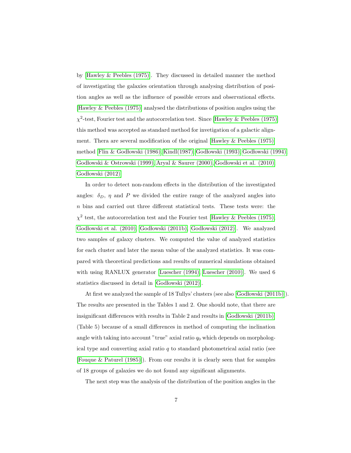by [\[Hawley & Peebles \(1975\)\]](#page-13-2). They discussed in detailed manner the method of investigating the galaxies orientation through analysing distribution of position angles as well as the influence of possible errors and observational effects. [\[Hawley & Peebles \(1975\)\]](#page-13-2) analysed the distributions of position angles using the  $\chi^2$ -test, Fourier test and the autocorrelation test. Since [Hawley & [Peebles \(1975\)\]](#page-13-2) this method was accepted as standard method for invetigation of a galactic alignment. Thera are several modification of the original [\[Hawley & Peebles \(1975\)\]](#page-13-2) method [Flin & Godłowski (1986), [Kindl\(1987\),](#page-14-6) Godłowski (1993), Godłowski (1994), Godłowski & Ostrowski (1999), [Aryal & Saurer \(2000\),](#page-11-0) Godłowski et al. (2010), Godłowski (2012)]

In order to detect non-random effects in the distribution of the investigated angles:  $\delta_D$ ,  $\eta$  and P we divided the entire range of the analyzed angles into n bins and carried out three different statistical tests. These tests were: the  $\chi^2$  test, the autocorrelation test and the Fourier test [\[Hawley & Peebles \(1975\),](#page-13-2) Godłowski et al. (2010), Godłowski (2011b), Godłowski (2012)]. We analyzed two samples of galaxy clusters. We computed the value of analyzed statistics for each cluster and later the mean value of the analyzed statistics. It was compared with theoretical predictions and results of numerical simulations obtained with using RANLUX generator [\[Luescher \(1994\),](#page-15-8) [Luescher \(2010\)\]](#page-15-9). We used 6 statistics discussed in detail in [Godłowski (2012)].

At first we analyzed the sample of  $18$  Tullys' clusters (see also [Godłowski  $(2011b)$ ]). The results are presented in the Tables 1 and 2. One should note, that there are insignificant differences with results in Table 2 and results in  $[Godboxski (2011b)]$ (Table 5) because of a small differences in method of computing the inclination angle with taking into account "true" axial ratio  $q_0$  which depends on morphological type and converting axial ratio  $q$  to standard photometrical axial ratio (see [\[Fouque & Paturel \(1985\)\]](#page-12-12)). From our results it is clearly seen that for samples of 18 groups of galaxies we do not found any significant alignments.

The next step was the analysis of the distribution of the position angles in the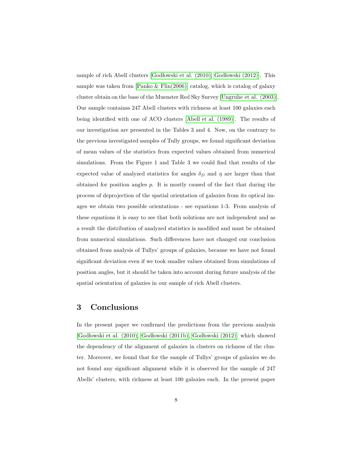sample of rich Abell clusters [Godłowski et al. (2010), Godłowski (2012)]. This sample was taken from [Panko  $\&$  Flin(2006)] catalog, which is catalog of galaxy cluster obtain on the base of the Muenster Red Sky Survey [\[Ungruhe et al. \(2003\)\]](#page-17-6). Our sample containss 247 Abell clusters with richness at least 100 galaxies each being identified with one of ACO clusters [\[Abell et al. \(1989\)\]](#page-11-1). The results of our investigation are presented in the Tables 3 and 4. Now, on the contrary to the previous investigated samples of Tully groups, we found significant deviation of mean values of the statistics from expected values obtained from numerical simulations. From the Figure 1 and Table 3 we could find that results of the expected value of analyzed statistics for angles  $\delta_D$  and  $\eta$  are larger than that obtained for position angles p. It is mostly caused of the fact that during the process of deprojection of the spatial orientation of galaxies from its optical images we obtain two possible orientations - see equations 1-3. From analysis of these equations it is easy to see that both solutions are not independent and as a result the distribution of analyzed statistics is modified and must be obtained from numerical simulations. Such differences have not changed our conclusion obtained from analysis of Tullys' groups of galaxies, because we have not found significant deviation even if we took smaller values obtained from simulations of position angles, but it should be taken into account during future analysis of the spatial orientation of galaxies in our sample of rich Abell clusters.

#### 3 Conclusions

In the present paper we confirmed the predictions from the previous analysis [Godłowski et al. (2010), Godłowski (2011b), Godłowski (2012)] which showed the dependency of the alignment of galaxies in clusters on richness of the cluster. Moreover, we found that for the sample of Tullys' groups of galaxies we do not found any significant alignment while it is observed for the sample of 247 Abells' clusters, with richness at least 100 galaxies each. In the present paper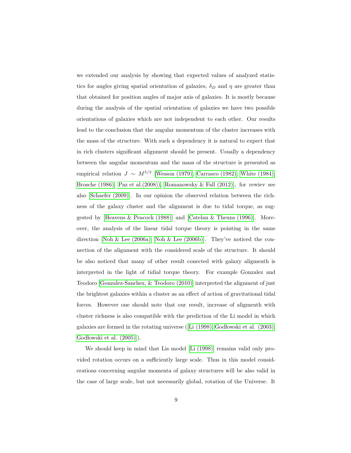we extended our analysis by showing that expected values of analyzed statistics for angles giving spatial orientation of galaxies,  $\delta_D$  and  $\eta$  are greater than that obtained for position angles of major axis of galaxies. It is mostly because during the analysis of the spatial orientation of galaxies we have two possible orientations of galaxies which are not independent to each other. Our results lead to the conclusion that the angular momentum of the cluster increases with the mass of the structure. With such a dependency it is natural to expect that in rich clusters significant alignment should be present. Usually a dependency between the angular momentum and the mass of the structure is presented as empirical relation  $J \sim M^{5/3}$  [\[Wesson \(1979\),](#page-17-7) [Carrasco \(1982\),](#page-12-13) [White \(1984\),](#page-17-8) [Brosche \(1986\),](#page-12-14) Paz et al.  $(2008)$ ), Romanowsky & Fall  $(2012)$ ], for rewiev see also [\[Schaefer \(2009\)\]](#page-16-10). In our opinion the observed relation between the richness of the galaxy cluster and the alignment is due to tidal torque, as suggested by [\[Heavens & Peacock \(1988\)\]](#page-13-4) and [\[Catelan & Theuns \(1996\)\]](#page-12-8). Moreover, the analysis of the linear tidal torque theory is pointing in the same direction [\[Noh & Lee \(2006a\),](#page-15-12) [Noh & Lee \(2006b\)\]](#page-15-13). They've noticed the connection of the alignment with the considered scale of the structure. It should be also noticed that many of other result conected with galaxy aligmenth is interpreted in the light of tidial torque theory. For example Gonzalez and Teodoro [\[Gonzalez-Sanchez, & Teodoro \(2010\)\]](#page-13-11) interpreted the alignment of just the brightest galaxies within a cluster as an effect of action of gravitational tidal forces. However one should note that our result, increase of aligmenth with cluster richness is also compatible with the prediction of the Li model in which galaxies are formed in the rotating universe ( $[Li (1998), Godlowski et al. (2003),$  $[Li (1998), Godlowski et al. (2003),$ Godłowski et al.  $(2005)$ .

We should keep in mind that Lis model [\[Li \(1998\)\]](#page-15-7) remains valid only provided rotation occurs on a sufficiently large scale. Thus in this model considerations concerning angular momenta of galaxy structures will be also valid in the case of large scale, but not necessarily global, rotation of the Universe. It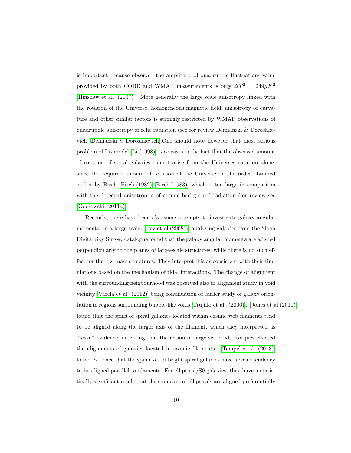is important because observed the amplitude of quadrupole fluctuations value provided by both COBE and WMAP measurements is only  $\Delta T^2 = 249 \mu K^2$ [\[Hinshaw et al., \(2007\)\]](#page-13-13). More generally the large scale anisotropy linked with the rotation of the Universe, homogeneous magnetic field, anisotropy of curvature and other similar factors is strongly restricted by WMAP observations of quadrupole anisotropy of relic radiation (see for review Demianski & Doroshkevich [\[Demianski & Doroshkevich\]](#page-12-15).One should note however that most serious problem of Lis model [\[Li \(1998\)\]](#page-15-7) is consists in the fact that the observed amount of rotation of spiral galaxies cannot arise from the Universes rotation alone, since the required amount of rotation of the Universe on the order obtained earlier by Birch [\[Birch \(1982\),](#page-12-16) [Birch \(1983\)\]](#page-12-17) which is too large in comparison with the detected anisotropies of cosmic background radiation (for review see  $[Goldowski (2011a)]$ 

Recently, there have been also some attempts to investigate galaxy angular momenta on a large scale. [\[Paz et al.\(2008\)\)\]](#page-15-11) analysing galaxies from the Sloan Digital Sky Survey catalogue found that the galaxy angular momenta are aligned perpendicularly to the planes of large-scale structures, while there is no such effect for the low-mass structures. They interpret this as consistent with their simulations based on the mechanism of tidal interactions. The change of alignment with the surrounding neigbourhood was observed also in alignment study in void vicinity [\[Varela et al. \(2012\)\]](#page-17-9) being continuation of earlier study of galaxy orientation in regions surrounding bubble-like voids [\[Trujillo et al. \(2006\)\]](#page-17-3). [\[Jones et al.\(2010\)\]](#page-14-7) found that the spins of spiral galaxies located within cosmic web filaments tend to be aligned along the larger axis of the filament, which they interpreted as "fossil" evidence indicating that the action of large scale tidal torques effected the alignments of galaxies located in cosmic filaments. [\[Tempel et al. \(2013\)\]](#page-16-11) found evidence that the spin axes of bright spiral galaxies have a weak tendency to be aligned parallel to filaments. For elliptical/S0 galaxies, they have a statistically significant result that the spin axes of ellipticals are aligned preferentially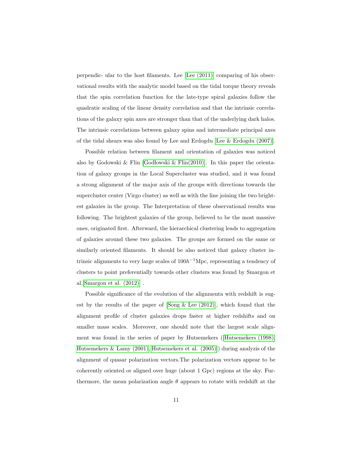perpendic- ular to the host filaments. Lee [\[Lee \(2011\)\]](#page-15-14) comparing of his observational results with the analytic model based on the tidal torque theory reveals that the spin correlation function for the late-type spiral galaxies follow the quadratic scaling of the linear density correlation and that the intrinsic correlations of the galaxy spin axes are stronger than that of the underlying dark halos. The intrinsic correlations between galaxy spins and intermediate principal axes of the tidal shears was also found by Lee and Erdogdu [\[Lee & Erdogdu \(2007\)\]](#page-15-15).

Possible relation between filament and orientation of galaxies was noticed also by Godowski & Flin [Godłowski & Flin(2010)]. In this paper the orientation of galaxy groups in the Local Supercluster was studied, and it was found a strong alignment of the major axis of the groups with directions towards the supercluster center (Virgo cluster) as well as with the line joining the two brightest galaxies in the group. The Interpretation of these observational results was following. The brightest galaxies of the group, believed to be the most massive ones, originated first. Afterward, the hierarchical clustering leads to aggregation of galaxies around these two galaxies. The groups are formed on the same or similarly oriented filaments. It should be also noticed that galaxy cluster intrinsic alignments to very large scales of  $100h^{-1}\text{Mpc}$ , representing a tendency of clusters to point preferentially towards other clusters was found by Smargon et al.[\[Smargon et al. \(2012\)\]](#page-16-12) .

Possible significance of the evolution of the alignmenta with redshift is sugest by the results of the paper of [\[Song & Lee \(2012\)\]](#page-16-13), which found that the alignment profile of cluster galaxies drops faster at higher redshifts and on smaller mass scales. Moreover, one should note that the largest scale alignment was found in the series of paper by Hutsemekers ([\[Hutsemekers \(1998\),](#page-14-8) [Hutsemekers & Lamy \(2001\),](#page-14-9) [Hutsemekers et al. \(2005\)\]](#page-14-10)) during analyzis of the alignment of quasar polarization vectors.The polarization vectors appear to be coherently oriented or aligned over huge (about 1 Gpc) regions at the sky. Furthermore, the mean polarization angle  $\theta$  appears to rotate with redshift at the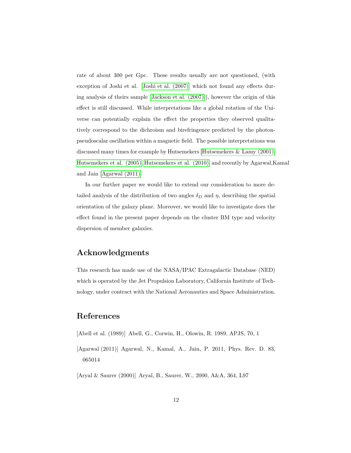rate of about 300 per Gpc. These results usually are not questioned, (with exception of Joshi et al. [\[Joshi et al. \(2007\)\]](#page-14-11) which not found any effects during analysis of theirs sample [\[Jackson et al. \(2007\)\]](#page-14-12)), however the origin of this effect is still discussed. While interpretations like a global rotation of the Universe can potentially explain the effect the properties they observed qualitatively correspond to the dichroism and birefringence predicted by the photonpseudoscalar oscillation within a magnetic field. The possible interpretations was discussed many times for example by Hutsemekers [Hutsemekers  $\&$  Lamy (2001), [Hutsemekers et al. \(2005\),](#page-14-10) [Hutsemekers et al. \(2010\)\]](#page-14-13) and recently by Agarwal,Kamal and Jain [\[Agarwal \(2011\)\]](#page-11-2)

In our further paper we would like to extend our consideration to more detailed analysis of the distribution of two angles  $\delta_D$  and  $\eta$ , describing the spatial orientation of the galaxy plane. Moreover, we would like to investigate does the effect found in the present paper depends on the cluster BM type and velocity dispersion of member galaxies.

## Acknowledgments

This research has made use of the NASA/IPAC Extragalactic Database (NED) which is operated by the Jet Propulsion Laboratory, California Institute of Technology, under contract with the National Aeronautics and Space Administration.

## References

- <span id="page-11-1"></span>[Abell et al. (1989)] Abell, G., Corwin, H., Olowin, R. 1989, APJS, 70, 1
- <span id="page-11-2"></span>[Agarwal (2011)] Agarwal, N., Kamal, A., Jain, P. 2011, Phys. Rev. D. 83, 065014
- <span id="page-11-0"></span>[Aryal & Saurer (2000)] Aryal, B., Saurer, W., 2000, A&A, 364, L97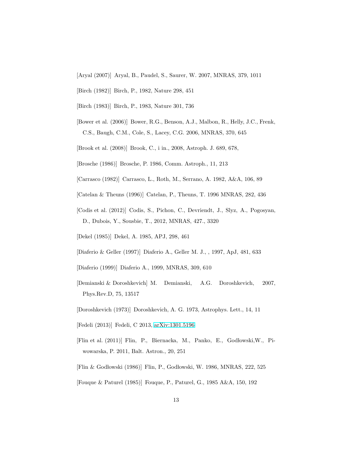- <span id="page-12-10"></span>[Aryal (2007)] Aryal, B., Paudel, S., Saurer, W. 2007, MNRAS, 379, 1011
- <span id="page-12-16"></span>[Birch (1982)] Birch, P., 1982, Nature 298, 451
- <span id="page-12-17"></span>[Birch (1983)] Birch, P., 1983, Nature 301, 736
- <span id="page-12-2"></span>[Bower et al. (2006)] Bower, R.G., Benson, A.J., Malbon, R., Helly, J.C., Frenk, C.S., Baugh, C.M., Cole, S., Lacey, C.G. 2006, MNRAS, 370, 645
- <span id="page-12-3"></span>[Brook et al. (2008)] Brook, C., i in., 2008, Astroph. J. 689, 678,
- <span id="page-12-14"></span>[Brosche (1986)] Brosche, P. 1986, Comm. Astroph., 11, 213
- <span id="page-12-13"></span>[Carrasco (1982)] Carrasco, L., Roth, M., Serrano, A. 1982, A&A, 106, 89
- <span id="page-12-8"></span>[Catelan & Theuns (1996)] Catelan, P., Theuns, T. 1996 MNRAS, 282, 436
- <span id="page-12-4"></span>[Codis et al. (2012)] Codis, S., Pichon, C., Devriendt, J., Slyz, A., Pogosyan, D., Dubois, Y., Sousbie, T., 2012, MNRAS, 427., 3320
- <span id="page-12-1"></span>[Dekel (1985)] Dekel, A. 1985, APJ, 298, 461
- <span id="page-12-6"></span>[Diaferio & Geller (1997)] Diaferio A., Geller M. J., , 1997, ApJ, 481, 633
- <span id="page-12-7"></span>[Diaferio (1999)] Diaferio A., 1999, MNRAS, 309, 610
- <span id="page-12-15"></span>[Demianski & Doroshkevich] M. Demianski, A.G. Doroshkevich, 2007, Phys.Rev.D, 75, 13517
- <span id="page-12-0"></span>[Doroshkevich (1973)] Doroshkevich, A. G. 1973, Astrophys. Lett., 14, 11
- <span id="page-12-9"></span>[Fedeli (2013)] Fedeli, C 2013, [arXiv:1301.5196](http://arxiv.org/abs/1301.5196)
- <span id="page-12-11"></span>[Flin et al. (2011)] Flin, P., Biernacka, M., Panko, E., Godłowski,W., Piwowarska, P. 2011, Balt. Astron., 20, 251
- <span id="page-12-5"></span>[Flin & Godłowski (1986)] Flin, P., Godłowski, W. 1986, MNRAS, 222, 525
- <span id="page-12-12"></span>[Fouque & Paturel (1985)] Fouque, P., Paturel, G., 1985 A&A, 150, 192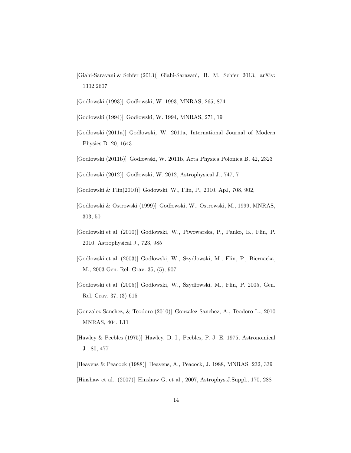- <span id="page-13-1"></span>[Giahi-Saravani & Schfer (2013)] Giahi-Saravani, B. M. Schfer 2013, arXiv: 1302.2607
- <span id="page-13-8"></span>[Godłowski (1993)] Godłowski, W. 1993, MNRAS, 265, 874
- <span id="page-13-9"></span>[Godłowski (1994)] Godłowski, W. 1994, MNRAS, 271, 19
- <span id="page-13-6"></span>[Godłowski (2011a)] Godłowski, W. 2011a, International Journal of Modern Physics D. 20, 1643
- <span id="page-13-7"></span>[Godłowski (2011b)] Godłowski, W. 2011b, Acta Physica Polonica B, 42, 2323
- <span id="page-13-0"></span>[Godłowski (2012)] Godłowski, W. 2012, Astrophysical J., 747, 7
- <span id="page-13-14"></span>[Godłowski & Flin(2010)] Godowski, W., Flin, P., 2010, ApJ, 708, 902,
- <span id="page-13-10"></span>[Godłowski & Ostrowski (1999)] Godłowski, W., Ostrowski, M., 1999, MNRAS, 303, 50
- <span id="page-13-5"></span>[Godłowski et al. (2010)] Godłowski, W., Piwowarska, P., Panko, E., Flin, P. 2010, Astrophysical J., 723, 985
- <span id="page-13-12"></span>[Godłowski et al. (2003)] Godłowski, W., Szydłowski, M., Flin, P., Biernacka, M., 2003 Gen. Rel. Grav. 35, (5), 907
- <span id="page-13-3"></span>[Godłowski et al. (2005)] Godłowski, W., Szydłowski, M., Flin, P. 2005, Gen. Rel. Grav. 37, (3) 615
- <span id="page-13-11"></span>[Gonzalez-Sanchez, & Teodoro (2010)] Gonzalez-Sanchez, A., Teodoro L., 2010 MNRAS, 404, L11
- <span id="page-13-2"></span>[Hawley & Peebles (1975)] Hawley, D. I., Peebles, P. J. E. 1975, Astronomical J., 80, 477
- <span id="page-13-4"></span>[Heavens & Peacock (1988)] Heavens, A., Peacock, J. 1988, MNRAS, 232, 339
- <span id="page-13-13"></span>[Hinshaw et al., (2007)] Hinshaw G. et al., 2007, Astrophys.J.Suppl., 170, 288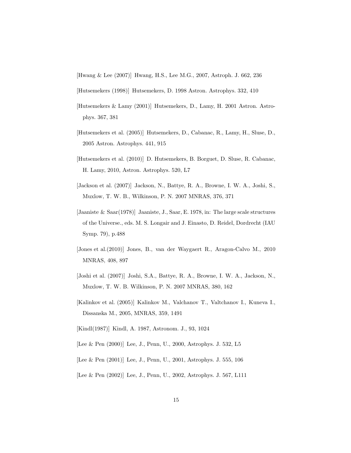<span id="page-14-5"></span>[Hwang & Lee (2007)] Hwang, H.S., Lee M.G., 2007, Astroph. J. 662, 236

- <span id="page-14-8"></span>[Hutsemekers (1998)] Hutsemekers, D. 1998 Astron. Astrophys. 332, 410
- <span id="page-14-9"></span>[Hutsemekers & Lamy (2001)] Hutsemekers, D., Lamy, H. 2001 Astron. Astrophys. 367, 381
- <span id="page-14-10"></span>[Hutsemekers et al. (2005)] Hutsemekers, D., Cabanac, R., Lamy, H., Sluse, D., 2005 Astron. Astrophys. 441, 915
- <span id="page-14-13"></span>[Hutsemekers et al. (2010)] D. Hutsemekers, B. Borguet, D. Sluse, R. Cabanac, H. Lamy, 2010, Astron. Astrophys. 520, L7
- <span id="page-14-12"></span>[Jackson et al. (2007)] Jackson, N., Battye, R. A., Browne, I. W. A., Joshi, S., Muxlow, T. W. B., Wilkinson, P. N. 2007 MNRAS, 376, 371
- <span id="page-14-3"></span>[Jaaniste & Saar(1978)] Jaaniste, J., Saar, E. 1978, in: The large scale structures of the Universe., eds. M. S. Longair and J. Einasto, D. Reidel, Dordrecht (IAU Symp. 79), p.488
- <span id="page-14-7"></span>[Jones et al.(2010)] Jones, B., van der Waygaert R., Aragon-Calvo M., 2010 MNRAS, 408, 897
- <span id="page-14-11"></span>[Joshi et al. (2007)] Joshi, S.A., Battye, R. A., Browne, I. W. A., Jackson, N., Muxlow, T. W. B. Wilkinson, P. N. 2007 MNRAS, 380, 162
- <span id="page-14-4"></span>[Kalinkov et al. (2005)] Kalinkov M., Valchanov T., Valtchanov I., Kuneva I., Dissanska M., 2005, MNRAS, 359, 1491
- <span id="page-14-6"></span>[Kindl(1987)] Kindl, A. 1987, Astronom. J., 93, 1024
- <span id="page-14-0"></span>[Lee & Pen (2000)] Lee, J., Penn, U., 2000, Astrophys. J. 532, L5
- <span id="page-14-1"></span>[Lee & Pen (2001)] Lee, J., Penn, U., 2001, Astrophys. J. 555, 106
- <span id="page-14-2"></span>[Lee & Pen (2002)] Lee, J., Penn, U., 2002, Astrophys. J. 567, L111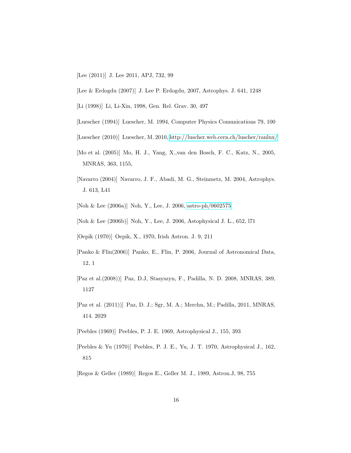<span id="page-15-14"></span>[Lee (2011)] J. Lee 2011, APJ, 732, 99

<span id="page-15-15"></span>[Lee & Erdogdu (2007)] J. Lee P. Erdogdu, 2007, Astrophys. J. 641, 1248

<span id="page-15-7"></span>[Li (1998)] Li, Li-Xin, 1998, Gen. Rel. Grav. 30, 497

<span id="page-15-8"></span>[Luescher (1994)] Luescher, M. 1994, Computer Physics Comunications 79, 100

- <span id="page-15-9"></span>[Luescher (2010)] Luescher, M. 2010,<http://luscher.web.cern.ch/luscher/ranlux/>
- <span id="page-15-2"></span>[Mo et al. (2005)] Mo, H. J., Yang, X.,van den Bosch, F. C., Katz, N., 2005, MNRAS, 363, 1155,
- <span id="page-15-1"></span>[Navarro (2004)] Navarro, J. F., Abadi, M. G., Steinmetz, M. 2004, Astrophys. J. 613, L41
- <span id="page-15-12"></span>[Noh & Lee (2006a)] Noh, Y., Lee, J. 2006, [astro-ph/0602575](http://arxiv.org/abs/astro-ph/0602575)
- <span id="page-15-13"></span>[Noh & Lee (2006b)] Noh, Y., Lee, J. 2006, Astophysical J. L., 652, l71
- <span id="page-15-5"></span>[Oepik (1970)] Oepik, X., 1970, Irish Astron. J. 9, 211
- <span id="page-15-10"></span>[Panko & Flin(2006)] Panko, E., Flin, P. 2006, Journal of Astronomical Data, 12, 1
- <span id="page-15-11"></span>[Paz et al.(2008))] Paz, D.J, Stasyszyn, F., Padilla, N. D. 2008, MNRAS, 389, 1127
- <span id="page-15-3"></span>[Paz et al. (2011))] Paz, D. J.; Sgr, M. A.; Merchn, M.; Padilla, 2011, MNRAS, 414. 2029
- <span id="page-15-0"></span>[Peebles (1969)] Peebles, P. J. E. 1969, Astrophysical J., 155, 393
- <span id="page-15-4"></span>[Peebles & Yu (1970)] Peebles, P. J. E., Yu, J. T. 1970, Astrophysical J., 162, 815
- <span id="page-15-6"></span>[Regos & Geller (1989)] Regos E., Geller M. J., 1989, Astron.J, 98, 755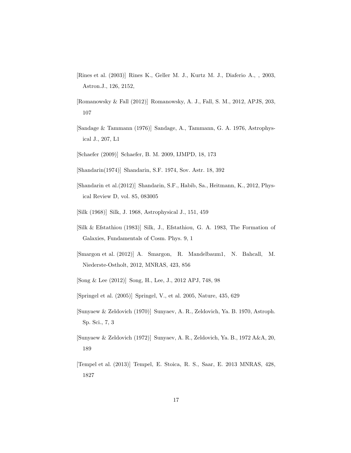- <span id="page-16-8"></span>[Rines et al. (2003)] Rines K., Geller M. J., Kurtz M. J., Diaferio A., , 2003, Astron.J., 126, 2152,
- <span id="page-16-4"></span>[Romanowsky & Fall (2012)] Romanowsky, A. J., Fall, S. M., 2012, APJS, 203, 107
- <span id="page-16-9"></span>[Sandage & Tammann (1976)] Sandage, A., Tammann, G. A. 1976, Astrophysical J., 207, L1
- <span id="page-16-10"></span>[Schaefer (2009)] Schaefer, B. M. 2009, IJMPD, 18, 173
- <span id="page-16-1"></span>[Shandarin(1974)] Shandarin, S.F. 1974, Sov. Astr. 18, 392
- <span id="page-16-3"></span>[Shandarin et al.(2012)] Shandarin, S.F., Habib, Sa., Heitmann, K., 2012, Physical Review D, vol. 85, 083005
- <span id="page-16-5"></span>[Silk (1968)] Silk, J. 1968, Astrophysical J., 151, 459
- <span id="page-16-2"></span>[Silk & Efstathiou (1983)] Silk, J., Efstathiou, G. A. 1983, The Formation of Galaxies, Fundamentals of Cosm. Phys. 9, 1
- <span id="page-16-12"></span>[Smargon et al. (2012)] A. Smargon, R. Mandelbaum1, N. Bahcall, M. Niederste-Ostholt, 2012, MNRAS, 423, 856
- <span id="page-16-13"></span>[Song & Lee (2012)] Song, H., Lee, J., 2012 APJ, 748, 98
- <span id="page-16-7"></span>[Springel et al. (2005)] Springel, V., et al. 2005, Nature, 435, 629
- <span id="page-16-6"></span>[Sunyaew & Zeldovich (1970)] Sunyaev, A. R., Zeldovich, Ya. B. 1970, Astroph. Sp. Sci., 7, 3
- <span id="page-16-0"></span>[Sunyaew & Zeldovich (1972)] Sunyaev, A. R., Zeldovich, Ya. B., 1972 A&A, 20, 189
- <span id="page-16-11"></span>[Tempel et al. (2013)] Tempel, E. Stoica, R. S., Saar, E. 2013 MNRAS, 428, 1827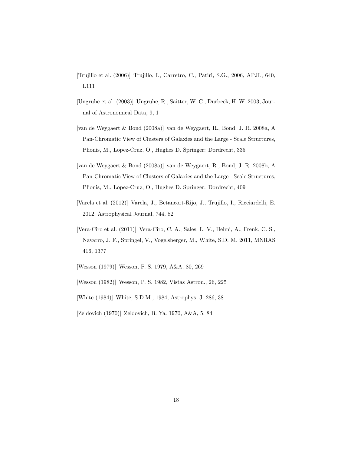- <span id="page-17-3"></span>[Trujillo et al. (2006)] Trujillo, I., Carretro, C., Patiri, S.G., 2006, APJL, 640, L111
- <span id="page-17-6"></span>[Ungruhe et al. (2003)] Ungruhe, R., Saitter, W. C., Durbeck, H. W. 2003, Journal of Astronomical Data, 9, 1
- <span id="page-17-4"></span>[van de Weygaert & Bond (2008a)] van de Weygaert, R., Bond, J. R. 2008a, A Pan-Chromatic View of Clusters of Galaxies and the Large - Scale Structures, Plionis, M., Lopez-Cruz, O., Hughes D. Springer: Dordrecht, 335
- <span id="page-17-5"></span>[van de Weygaert & Bond (2008a)] van de Weygaert, R., Bond, J. R. 2008b, A Pan-Chromatic View of Clusters of Galaxies and the Large - Scale Structures, Plionis, M., Lopez-Cruz, O., Hughes D. Springer: Dordrecht, 409
- <span id="page-17-9"></span>[Varela et al. (2012)] Varela, J., Betancort-Rijo, J., Trujillo, I., Ricciardelli, E. 2012, Astrophysical Journal, 744, 82
- <span id="page-17-2"></span>[Vera-Ciro et al. (2011)] Vera-Ciro, C. A., Sales, L. V., Helmi, A., Frenk, C. S., Navarro, J. F., Springel, V., Vogelsberger, M., White, S.D. M. 2011, MNRAS 416, 1377
- <span id="page-17-7"></span>[Wesson (1979)] Wesson, P. S. 1979, A&A, 80, 269
- <span id="page-17-1"></span>[Wesson (1982)] Wesson, P. S. 1982, Vistas Astron., 26, 225
- <span id="page-17-8"></span>[White (1984)] White, S.D.M., 1984, Astrophys. J. 286, 38
- <span id="page-17-0"></span>[Zeldovich (1970)] Zeldovich, B. Ya. 1970, A&A, 5, 84